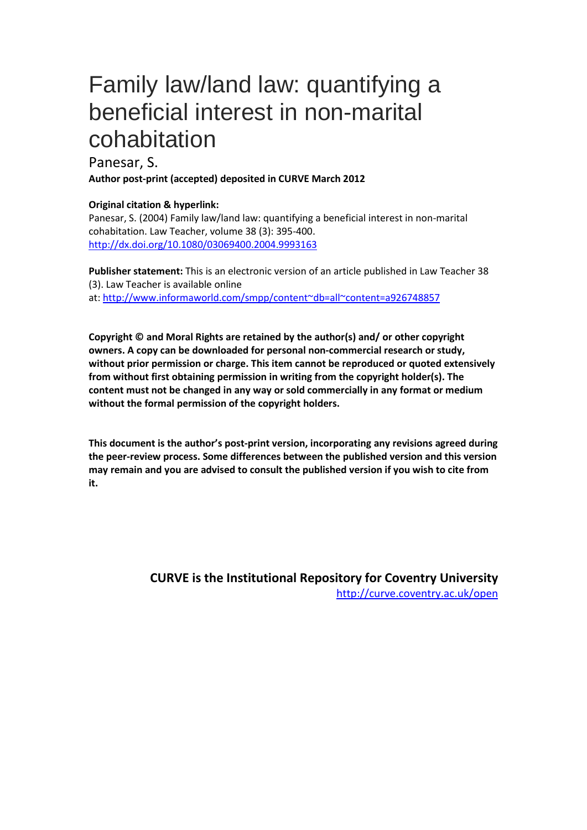# Family law/land law: quantifying a beneficial interest in non-marital cohabitation

Panesar, S.

**Author post-print (accepted) deposited in CURVE March 2012**

# **Original citation & hyperlink:**

Panesar, S. (2004) Family law/land law: quantifying a beneficial interest in non-marital cohabitation. Law Teacher, volume 38 (3): 395-400. http://dx.doi.org/10.1080/03069400.2004.9993163

**Publisher statement:** This is an electronic version of an article published in Law Teacher 38 (3). Law Teacher is available online at: http://www.informaworld.com/smpp/content~db=all~content=a926748857

**Copyright © and Moral Rights are retained by the author(s) and/ or other copyright owners. A copy can be downloaded for personal non-commercial research or study, [without prior permission or charge. This item cannot be](http://dx.doi.org/10.1080/03069400.2004.9993163) reproduced or quoted extensively from without first obtaining permission in writing from the copyright holder(s). The content must not be changed in any way or sold commercially in any format or medium without the formal permission of the copyright holders.** 

**This document is the author's post-print version, incorporating any revisions agreed during the peer-review process. Some differences between the published version and this version may remain and you are advised to consult the published version if you wish to cite from it.** 

> **CURVE is the Institutional Repository for Coventry University** http://curve.coventry.ac.uk/open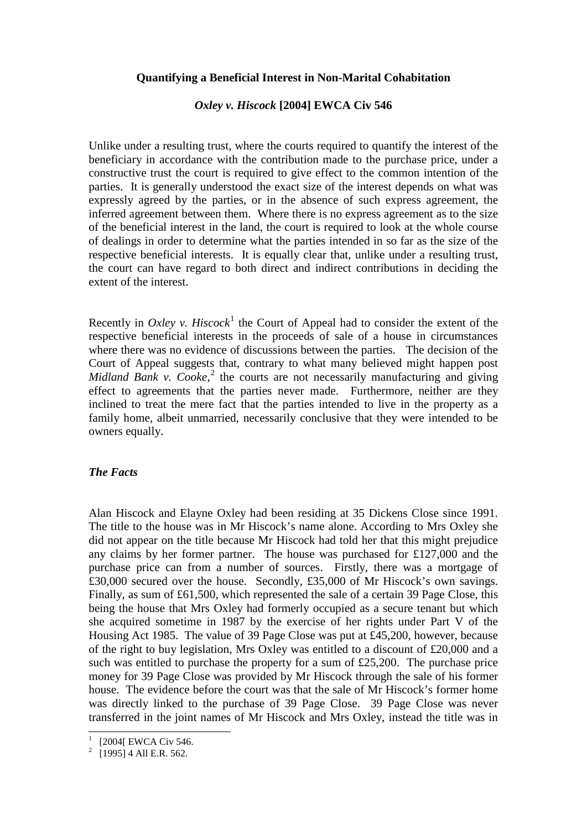# **Quantifying a Beneficial Interest in Non-Marital Cohabitation**

# *Oxley v. Hiscock* **[2004] EWCA Civ 546**

Unlike under a resulting trust, where the courts required to quantify the interest of the beneficiary in accordance with the contribution made to the purchase price, under a constructive trust the court is required to give effect to the common intention of the parties. It is generally understood the exact size of the interest depends on what was expressly agreed by the parties, or in the absence of such express agreement, the inferred agreement between them. Where there is no express agreement as to the size of the beneficial interest in the land, the court is required to look at the whole course of dealings in order to determine what the parties intended in so far as the size of the respective beneficial interests. It is equally clear that, unlike under a resulting trust, the court can have regard to both direct and indirect contributions in deciding the extent of the interest.

Recently in *Oxley v. Hiscock*<sup>[1](#page-1-0)</sup> the Court of Appeal had to consider the extent of the respective beneficial interests in the proceeds of sale of a house in circumstances where there was no evidence of discussions between the parties. The decision of the Court of Appeal suggests that, contrary to what many believed might happen post Midland Bank v. Cooke,<sup>[2](#page-1-1)</sup> the courts are not necessarily manufacturing and giving effect to agreements that the parties never made. Furthermore, neither are they inclined to treat the mere fact that the parties intended to live in the property as a family home, albeit unmarried, necessarily conclusive that they were intended to be owners equally.

### *The Facts*

Alan Hiscock and Elayne Oxley had been residing at 35 Dickens Close since 1991. The title to the house was in Mr Hiscock's name alone. According to Mrs Oxley she did not appear on the title because Mr Hiscock had told her that this might prejudice any claims by her former partner. The house was purchased for £127,000 and the purchase price can from a number of sources. Firstly, there was a mortgage of £30,000 secured over the house. Secondly, £35,000 of Mr Hiscock's own savings. Finally, as sum of £61,500, which represented the sale of a certain 39 Page Close, this being the house that Mrs Oxley had formerly occupied as a secure tenant but which she acquired sometime in 1987 by the exercise of her rights under Part V of the Housing Act 1985. The value of 39 Page Close was put at £45,200, however, because of the right to buy legislation, Mrs Oxley was entitled to a discount of £20,000 and a such was entitled to purchase the property for a sum of £25,200. The purchase price money for 39 Page Close was provided by Mr Hiscock through the sale of his former house. The evidence before the court was that the sale of Mr Hiscock's former home was directly linked to the purchase of 39 Page Close. 39 Page Close was never transferred in the joint names of Mr Hiscock and Mrs Oxley, instead the title was in

<span id="page-1-1"></span><span id="page-1-0"></span><sup>&</sup>lt;sup>1</sup> [2004] EWCA Civ 546.

 $^{1}$  [2004] EWCA Civ 546.<br> $^{2}$  [1995] 4 All E.R. 562.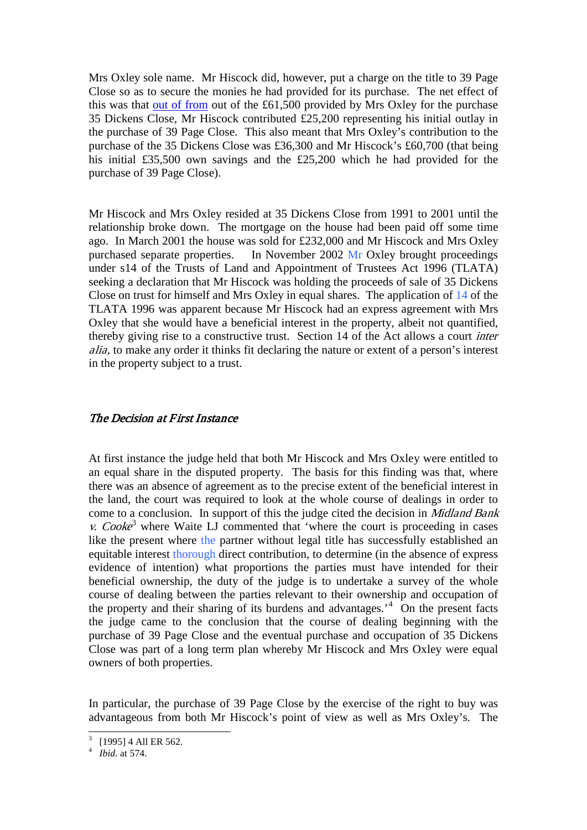Mrs Oxley sole name. Mr Hiscock did, however, put a charge on the title to 39 Page Close so as to secure the monies he had provided for its purchase. The net effect of this was that out of from out of the £61,500 provided by Mrs Oxley for the purchase 35 Dickens Close, Mr Hiscock contributed £25,200 representing his initial outlay in the purchase of 39 Page Close. This also meant that Mrs Oxley's contribution to the purchase of the 35 Dickens Close was £36,300 and Mr Hiscock's £60,700 (that being his initial £35,500 own savings and the £25,200 which he had provided for the purchase of 39 Page Close).

Mr Hiscock and Mrs Oxley resided at 35 Dickens Close from 1991 to 2001 until the relationship broke down. The mortgage on the house had been paid off some time ago. In March 2001 the house was sold for £232,000 and Mr Hiscock and Mrs Oxley purchased separate properties. In November 2002 Mr Oxley brought proceedings under s14 of the Trusts of Land and Appointment of Trustees Act 1996 (TLATA) seeking a declaration that Mr Hiscock was holding the proceeds of sale of 35 Dickens Close on trust for himself and Mrs Oxley in equal shares. The application of 14 of the TLATA 1996 was apparent because Mr Hiscock had an express agreement with Mrs Oxley that she would have a beneficial interest in the property, albeit not quantified, thereby giving rise to a constructive trust. Section 14 of the Act allows a court inter alia, to make any order it thinks fit declaring the nature or extent of a person's interest in the property subject to a trust.

### The Decision at First Instance

At first instance the judge held that both Mr Hiscock and Mrs Oxley were entitled to an equal share in the disputed property. The basis for this finding was that, where there was an absence of agreement as to the precise extent of the beneficial interest in the land, the court was required to look at the whole course of dealings in order to come to a conclusion. In support of this the judge cited the decision in *Midland Bank* v. Cooke<sup>[3](#page-2-0)</sup> where Waite LJ commented that 'where the court is proceeding in cases like the present where the partner without legal title has successfully established an equitable interest thorough direct contribution, to determine (in the absence of express evidence of intention) what proportions the parties must have intended for their beneficial ownership, the duty of the judge is to undertake a survey of the whole course of dealing between the parties relevant to their ownership and occupation of the property and their sharing of its burdens and advantages.'[4](#page-2-1) On the present facts the judge came to the conclusion that the course of dealing beginning with the purchase of 39 Page Close and the eventual purchase and occupation of 35 Dickens Close was part of a long term plan whereby Mr Hiscock and Mrs Oxley were equal owners of both properties.

In particular, the purchase of 39 Page Close by the exercise of the right to buy was advantageous from both Mr Hiscock's point of view as well as Mrs Oxley's. The

<span id="page-2-0"></span> $\frac{1}{3}$ [1995] 4 All ER 562. <sup>4</sup> *Ibid.* at 574.

<span id="page-2-1"></span>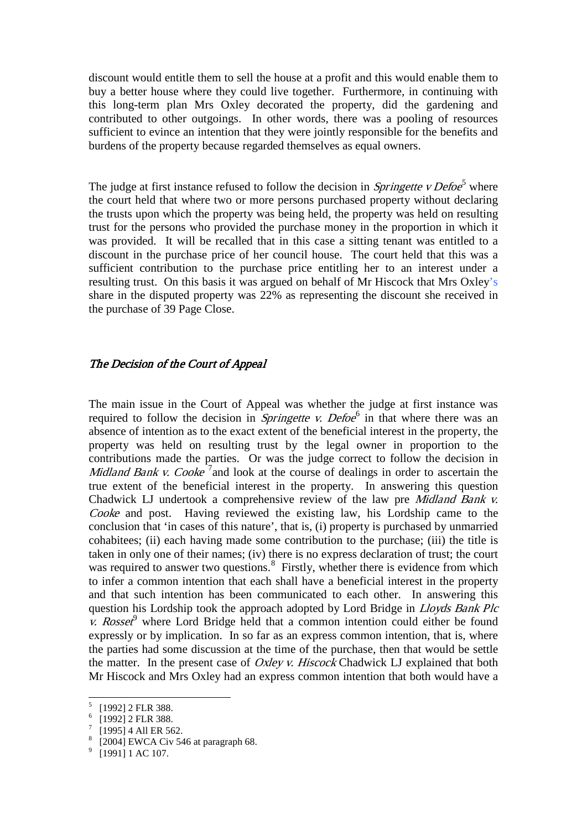discount would entitle them to sell the house at a profit and this would enable them to buy a better house where they could live together. Furthermore, in continuing with this long-term plan Mrs Oxley decorated the property, did the gardening and contributed to other outgoings. In other words, there was a pooling of resources sufficient to evince an intention that they were jointly responsible for the benefits and burdens of the property because regarded themselves as equal owners.

The judge at first instance refused to follow the decision in *Springette v Defoe*<sup>[5](#page-3-0)</sup> where the court held that where two or more persons purchased property without declaring the trusts upon which the property was being held, the property was held on resulting trust for the persons who provided the purchase money in the proportion in which it was provided. It will be recalled that in this case a sitting tenant was entitled to a discount in the purchase price of her council house. The court held that this was a sufficient contribution to the purchase price entitling her to an interest under a resulting trust. On this basis it was argued on behalf of Mr Hiscock that Mrs Oxley's share in the disputed property was 22% as representing the discount she received in the purchase of 39 Page Close.

# The Decision of the Court of Appeal

The main issue in the Court of Appeal was whether the judge at first instance was required to follow the decision in *Springette v. Defoe*<sup>[6](#page-3-1)</sup> in that where there was an absence of intention as to the exact extent of the beneficial interest in the property, the property was held on resulting trust by the legal owner in proportion to the contributions made the parties. Or was the judge correct to follow the decision in Midland Bank v. Cooke<sup>[7](#page-3-2)</sup> and look at the course of dealings in order to ascertain the true extent of the beneficial interest in the property. In answering this question Chadwick LJ undertook a comprehensive review of the law pre Midland Bank v. Cooke and post. Having reviewed the existing law, his Lordship came to the conclusion that 'in cases of this nature', that is, (i) property is purchased by unmarried cohabitees; (ii) each having made some contribution to the purchase; (iii) the title is taken in only one of their names; (iv) there is no express declaration of trust; the court was required to answer two questions.<sup>[8](#page-3-3)</sup> Firstly, whether there is evidence from which to infer a common intention that each shall have a beneficial interest in the property and that such intention has been communicated to each other. In answering this question his Lordship took the approach adopted by Lord Bridge in Lloyds Bank Plc  $\overline{v}$ . Rosset<sup>[9](#page-3-4)</sup> where Lord Bridge held that a common intention could either be found expressly or by implication. In so far as an express common intention, that is, where the parties had some discussion at the time of the purchase, then that would be settle the matter. In the present case of Oxley v. Hiscock Chadwick LJ explained that both Mr Hiscock and Mrs Oxley had an express common intention that both would have a

<sup>&</sup>lt;sup>5</sup> [1992] 2 FLR 388.

<span id="page-3-0"></span> $^6$  [1992] 2 FLR 388.

<span id="page-3-2"></span><span id="page-3-1"></span> $\frac{1}{1995}$  4 All ER 562.

<span id="page-3-3"></span> $[2004]$  EWCA Civ 546 at paragraph 68.

<span id="page-3-4"></span> $9$  [1991] 1 AC 107.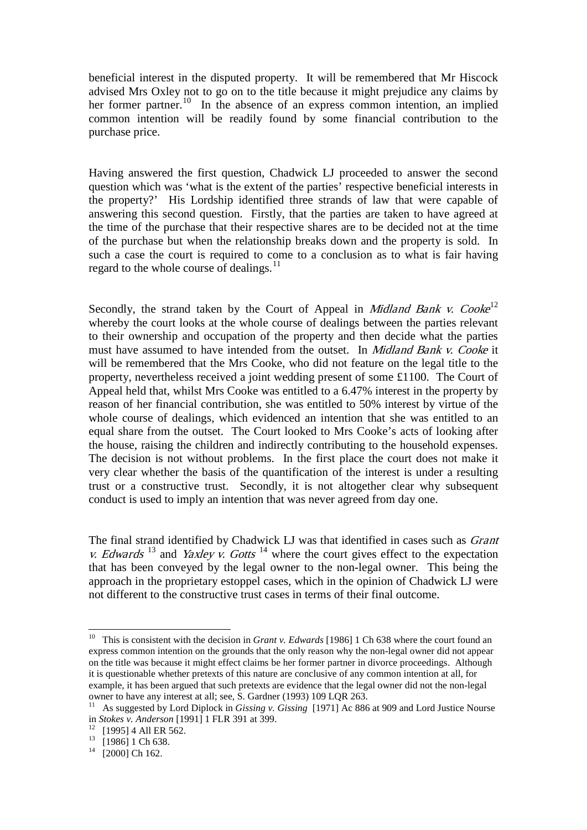beneficial interest in the disputed property. It will be remembered that Mr Hiscock advised Mrs Oxley not to go on to the title because it might prejudice any claims by her former partner.<sup>10</sup> In the absence of an express common intention, an implied common intention will be readily found by some financial contribution to the purchase price.

Having answered the first question, Chadwick LJ proceeded to answer the second question which was 'what is the extent of the parties' respective beneficial interests in the property?' His Lordship identified three strands of law that were capable of answering this second question. Firstly, that the parties are taken to have agreed at the time of the purchase that their respective shares are to be decided not at the time of the purchase but when the relationship breaks down and the property is sold. In such a case the court is required to come to a conclusion as to what is fair having regard to the whole course of dealings. $11$ 

Secondly, the strand taken by the Court of Appeal in *Midland Bank v. Cooke*<sup>[12](#page-4-2)</sup> whereby the court looks at the whole course of dealings between the parties relevant to their ownership and occupation of the property and then decide what the parties must have assumed to have intended from the outset. In Midland Bank v. Cooke it will be remembered that the Mrs Cooke, who did not feature on the legal title to the property, nevertheless received a joint wedding present of some £1100. The Court of Appeal held that, whilst Mrs Cooke was entitled to a 6.47% interest in the property by reason of her financial contribution, she was entitled to 50% interest by virtue of the whole course of dealings, which evidenced an intention that she was entitled to an equal share from the outset. The Court looked to Mrs Cooke's acts of looking after the house, raising the children and indirectly contributing to the household expenses. The decision is not without problems. In the first place the court does not make it very clear whether the basis of the quantification of the interest is under a resulting trust or a constructive trust. Secondly, it is not altogether clear why subsequent conduct is used to imply an intention that was never agreed from day one.

The final strand identified by Chadwick LJ was that identified in cases such as Grant v. Edwards  $^{13}$  $^{13}$  $^{13}$  and Yaxley v. Gotts  $^{14}$  $^{14}$  $^{14}$  where the court gives effect to the expectation that has been conveyed by the legal owner to the non-legal owner. This being the approach in the proprietary estoppel cases, which in the opinion of Chadwick LJ were not different to the constructive trust cases in terms of their final outcome.

<span id="page-4-0"></span><sup>&</sup>lt;sup>10</sup> This is consistent with the decision in *Grant v. Edwards* [1986] 1 Ch 638 where the court found an express common intention on the grounds that the only reason why the non-legal owner did not appear on the title was because it might effect claims be her former partner in divorce proceedings. Although it is questionable whether pretexts of this nature are conclusive of any common intention at all, for example, it has been argued that such pretexts are evidence that the legal owner did not the non-legal owner to have any interest at all; see, S. Gardner (1993) 109 LQR 263.

<span id="page-4-1"></span><sup>&</sup>lt;sup>11</sup> As suggested by Lord Diplock in *Gissing v. Gissing* [1971] Ac 886 at 909 and Lord Justice Nourse in *Stokes v. Anderson* [1991] 1 FLR 391 at 399.<br><sup>12</sup> [1995] 4 All ER 562.<br><sup>13</sup> [1986] 1 Ch 638.<br><sup>14</sup> [2000] Ch 162.

<span id="page-4-3"></span><span id="page-4-2"></span>

<span id="page-4-4"></span>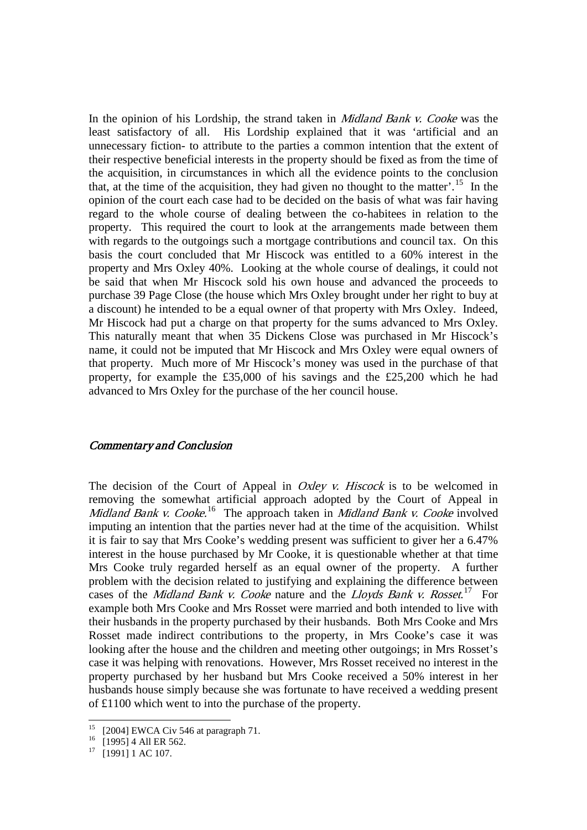In the opinion of his Lordship, the strand taken in *Midland Bank v. Cooke* was the least satisfactory of all. His Lordship explained that it was 'artificial and an unnecessary fiction- to attribute to the parties a common intention that the extent of their respective beneficial interests in the property should be fixed as from the time of the acquisition, in circumstances in which all the evidence points to the conclusion that, at the time of the acquisition, they had given no thought to the matter'.<sup>[15](#page-5-0)</sup> In the opinion of the court each case had to be decided on the basis of what was fair having regard to the whole course of dealing between the co-habitees in relation to the property. This required the court to look at the arrangements made between them with regards to the outgoings such a mortgage contributions and council tax. On this basis the court concluded that Mr Hiscock was entitled to a 60% interest in the property and Mrs Oxley 40%. Looking at the whole course of dealings, it could not be said that when Mr Hiscock sold his own house and advanced the proceeds to purchase 39 Page Close (the house which Mrs Oxley brought under her right to buy at a discount) he intended to be a equal owner of that property with Mrs Oxley. Indeed, Mr Hiscock had put a charge on that property for the sums advanced to Mrs Oxley. This naturally meant that when 35 Dickens Close was purchased in Mr Hiscock's name, it could not be imputed that Mr Hiscock and Mrs Oxley were equal owners of that property. Much more of Mr Hiscock's money was used in the purchase of that property, for example the £35,000 of his savings and the £25,200 which he had advanced to Mrs Oxley for the purchase of the her council house.

#### Commentary and Conclusion

The decision of the Court of Appeal in *Oxley v. Hiscock* is to be welcomed in removing the somewhat artificial approach adopted by the Court of Appeal in *Midland Bank v. Cooke.*<sup>16</sup> The approach taken in *Midland Bank v. Cooke* involved imputing an intention that the parties never had at the time of the acquisition. Whilst it is fair to say that Mrs Cooke's wedding present was sufficient to giver her a 6.47% interest in the house purchased by Mr Cooke, it is questionable whether at that time Mrs Cooke truly regarded herself as an equal owner of the property. A further problem with the decision related to justifying and explaining the difference between cases of the *Midland Bank v. Cooke* nature and the *Lloyds Bank v. Rosset*.<sup>[17](#page-5-2)</sup> For example both Mrs Cooke and Mrs Rosset were married and both intended to live with their husbands in the property purchased by their husbands. Both Mrs Cooke and Mrs Rosset made indirect contributions to the property, in Mrs Cooke's case it was looking after the house and the children and meeting other outgoings; in Mrs Rosset's case it was helping with renovations. However, Mrs Rosset received no interest in the property purchased by her husband but Mrs Cooke received a 50% interest in her husbands house simply because she was fortunate to have received a wedding present of £1100 which went to into the purchase of the property.

<span id="page-5-0"></span><sup>&</sup>lt;sup>15</sup> [2004] EWCA Civ 546 at paragraph 71.

<span id="page-5-2"></span><span id="page-5-1"></span> $^{16}$  [1995] 4 All ER 562.<br><sup>17</sup> [1991] 1 AC 107.